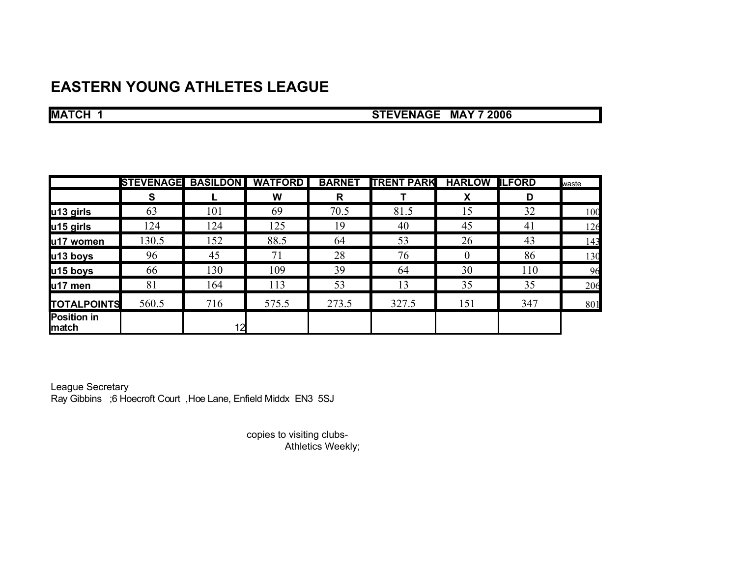## **EASTERN YOUNG ATHLETES LEAGUE**

**MATCH 1** STEVENAGE MAY 7 2006

|                                     | <b>STEVENAGE</b> | <b>BASILDON</b> | <b>WATFORD</b> | <b>BARNET</b> | <b>TRENT PARK</b> | <b>HARLOW ILFORD</b> |     | waste |
|-------------------------------------|------------------|-----------------|----------------|---------------|-------------------|----------------------|-----|-------|
|                                     | S                |                 | W              | R             |                   | X                    | D   |       |
| u13 girls                           | 63               | 101             | 69             | 70.5          | 81.5              | 15                   | 32  | 100   |
| u15 girls                           | 124              | 124             | 125            | 19            | 40                | 45                   | 41  | 126   |
| u17 women                           | 130.5            | 152             | 88.5           | 64            | 53                | 26                   | 43  | 143   |
| u13 boys                            | 96               | 45              | 71             | 28            | 76                | $\theta$             | 86  | 130   |
| u15 boys                            | 66               | 130             | 109            | 39            | 64                | 30                   | 110 | 96    |
| u17 men                             | 81               | 164             | 113            | 53            | 13                | 35                   | 35  | 206   |
| <b>TOTALPOINTS</b>                  | 560.5            | 716             | 575.5          | 273.5         | 327.5             | 151                  | 347 | 801   |
| <b>Position in</b><br><b>Imatch</b> |                  | 12              |                |               |                   |                      |     |       |

League Secretary Ray Gibbins ;6 Hoecroft Court ,Hoe Lane, Enfield Middx EN3 5SJ

> copies to visiting clubs- Athletics Weekly;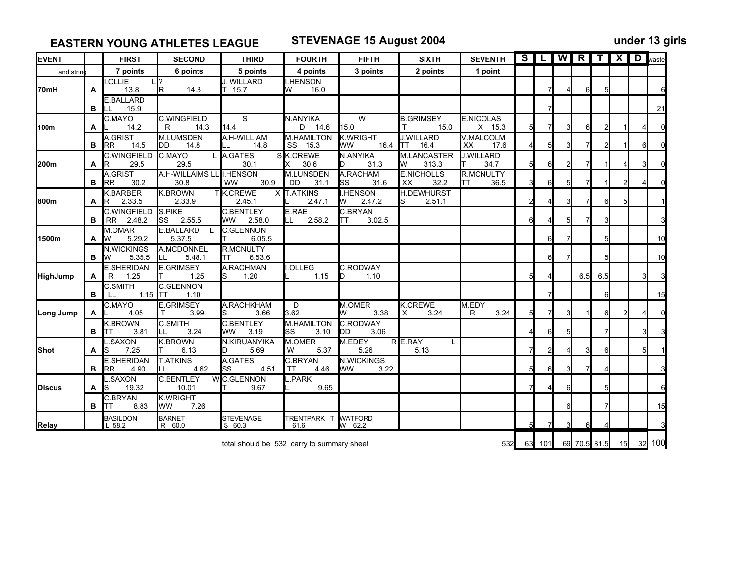**EASTERN YOUNG ATHLETES LEAGUE STEVENAGE 15 August 2004 under 13 girls**

| <b>EVENT</b>    |                                            | <b>FIRST</b>                           | <b>SECOND</b>                     | <b>THIRD</b>                          | <b>FOURTH</b>                   | <b>FIFTH</b>                           | <b>SIXTH</b>                           | <b>SEVENTH</b>             |    | S <sub>l</sub> |        |              |     | <b>WRTXD</b> | waste  |
|-----------------|--------------------------------------------|----------------------------------------|-----------------------------------|---------------------------------------|---------------------------------|----------------------------------------|----------------------------------------|----------------------------|----|----------------|--------|--------------|-----|--------------|--------|
| and strin       |                                            | 7 points                               | 6 points                          | 5 points                              | 4 points                        | 3 points                               | 2 points                               | 1 point                    |    |                |        |              |     |              |        |
| 70mH            | A                                          | <b>OLLIE</b><br>13.8                   | 14.3<br>lR.                       | J. WILLARD<br>15.7                    | <b>I.HENSON</b><br>16.0<br>W    |                                        |                                        |                            |    | 7              |        | 6            |     |              |        |
|                 | в                                          | E.BALLARD<br>15.9<br>LL                |                                   |                                       |                                 |                                        |                                        |                            |    | 7              |        |              |     |              | 21     |
| 100m            | A                                          | C.MAYO<br>14.2                         | <b>C.WINGFIELD</b><br>14.3<br>R   | S<br>14.4                             | N.ANYIKA<br>D 14.6              | W<br>15.0                              | <b>B.GRIMSEY</b><br>15.0               | <b>E.NICOLAS</b><br>X 15.3 | 5  |                |        | 6            |     |              |        |
|                 | в                                          | A.GRIST<br><b>RR</b><br>14.5           | M.LUMSDEN<br>14.8<br>DD           | A.H-WILLIAM<br>14.8<br>LL             | M.HAMILTON<br>SS 15.3           | <b>K.WRIGHT</b><br>16.4<br><b>WW</b>   | <b>J.WILLARD</b><br>16.4<br><b>ITT</b> | V.MALCOLM<br>XX<br>17.6    |    | 5              |        |              |     |              |        |
| 200m            | A                                          | <b>C.WINGFIELD</b><br>29.5<br>IR.      | C.MAYO<br>29.5                    | L A.GATES<br>30.1                     | S K.CREWE<br>30.6               | N.ANYIKA<br>31.3                       | M.LANCASTER<br>313.3<br>W              | <b>J.WILLARD</b><br>34.7   | 5  | 6              |        |              |     |              |        |
|                 | в                                          | A.GRIST<br>30.2<br><b>RR</b>           | A.H-WILLAIMS LL II.HENSON<br>30.8 | 30.9<br><b>WW</b>                     | M.LUNSDEN<br>DD<br>31.1         | A.RACHAM<br>lss<br>31.6                | <b>E.NICHOLLS</b><br>32.2<br>XX        | R.MCNULTY<br>36.5<br>TT    | 31 | 6              |        |              |     |              |        |
| 800m            | A                                          | <b>K.BARBER</b><br>2.33.5<br>R         | <b>K.BROWN</b><br>2.33.9          | TK.CREWE<br>2.45.1                    | X T.ATKINS<br>2.47.1            | <b>HENSON</b><br>Ιw<br>2.47.2          | <b>H.DEWHURST</b><br>2.51.1            |                            | 2  |                |        |              |     |              |        |
|                 | в                                          | <b>C.WINGFIELD</b><br>2.48.2<br>RR.    | S.PIKE<br>2.55.5<br><b>ISS</b>    | <b>C.BENTLEY</b><br>2.58.0<br>WW.     | E.RAE<br>2.58.2<br>LL           | C.BRYAN<br>3.02.5<br>IТT               |                                        |                            | 6  |                |        |              |     |              |        |
| 1500m           | A                                          | M.OMAR<br>lw<br>5.29.2                 | E.BALLARD<br>5.37.5               | <b>C.GLENNON</b><br>6.05.5            |                                 |                                        |                                        |                            |    | 6              |        |              |     |              | 10     |
|                 | в                                          | N.WICKINGS<br>5.35.5<br>IW.            | A.MCDONNEL<br>LL<br>5.48.1        | <b>R.MCNULTY</b><br>6.53.6<br>TT      |                                 |                                        |                                        |                            |    | 6              |        |              | 5   |              | 10     |
| <b>HighJump</b> | A                                          | <b>E.SHERIDAN</b><br>1.25<br>R         | <b>E.GRIMSEY</b><br>1.25          | A.RACHMAN<br>1.20                     | I.OLLEG<br>1.15                 | <b>C.RODWAY</b><br>1.10<br>ID          |                                        |                            | 5  |                |        | 6.5          | 6.5 |              |        |
|                 | в                                          | <b>C.SMITH</b><br>1.15 $TT$<br>LL      | C.GLENNON<br>1.10                 |                                       |                                 |                                        |                                        |                            |    |                |        |              | 6   |              | 15     |
| Long Jump       | A                                          | C.MAYO<br>4.05                         | <b>E.GRIMSEY</b><br>3.99          | A.RACHKHAM<br>3.66                    | D<br>3.62                       | M.OMER<br>3.38<br>W                    | K.CREWE<br>3.24<br>X                   | M.EDY<br>3.24<br>R         | 5  | 7              |        |              |     |              |        |
|                 | в                                          | <b>K.BROWN</b><br>3.81<br>ITT          | C.SMITH<br>3.24<br>ILL            | <b>C.BENTLEY</b><br>3.19<br><b>WW</b> | <b>M.HAMILTON</b><br>3.10<br>SS | C.RODWAY<br>3.06<br>IDD.               |                                        |                            |    | 6              |        |              |     |              |        |
| <b>Shot</b>     | A                                          | .SAXON<br>7.25<br>lS                   | <b>K.BROWN</b><br>6.13            | N.KIRUANYIKA<br>5.69                  | M.OMER<br>5.37<br>W             | M.EDEY<br>5.26                         | R E.RAY<br>5.13                        |                            |    | 2              |        | 3            |     |              |        |
|                 | в                                          | <b>E.SHERIDAN</b><br><b>RR</b><br>4.90 | <b>T.ATKINS</b><br>4.62           | A.GATES<br>4.51<br>lss                | C.BRYAN<br>4.46<br><b>TT</b>    | <b>N.WICKINGS</b><br><b>WW</b><br>3.22 |                                        |                            | 5  | 6              |        |              |     |              |        |
| Discus          | A                                          | .SAXON<br>19.32<br>S                   | <b>C.BENTLEY</b><br>10.01         | W C.GLENNON<br>9.67                   | .PARK<br>9.65                   |                                        |                                        |                            |    |                | 6      |              |     |              |        |
|                 | в                                          | C.BRYAN<br>8.83<br>ITT                 | K.WRIGHT<br>7.26<br><b>WW</b>     |                                       |                                 |                                        |                                        |                            |    |                |        |              |     |              | 15     |
| <b>Relay</b>    |                                            | <b>BASILDON</b><br>$L$ 58.2            | <b>BARNET</b><br>R 60.0           | <b>STEVENAGE</b><br>S 60.3            | TRENTPARK T<br>61.6             | <b>WATFORD</b><br>W 62.2               |                                        |                            | 5  | 7              |        | 6            |     |              |        |
|                 | total should be 532 carry to summary sheet |                                        |                                   |                                       |                                 |                                        |                                        |                            |    |                | 63 101 | 69 70.5 81.5 |     | 15           | 32 100 |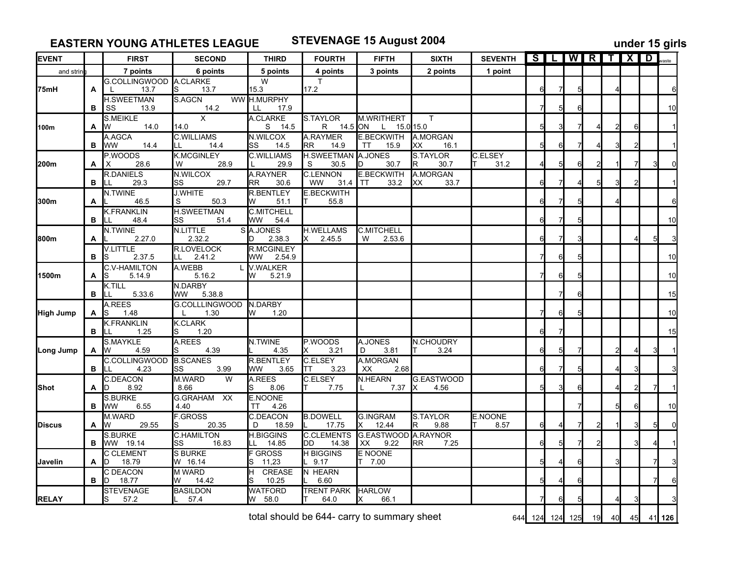**EASTERN YOUNG ATHLETES LEAGUE STEVENAGE 15 August 2004 under 15 girls**

| <b>EVENT</b>   |   | <b>FIRST</b>                           | <b>SECOND</b>                    | <b>THIRD</b>                           | <b>FOURTH</b>                          | <b>FIFTH</b>                                   | <b>SIXTH</b>            | <b>SEVENTH</b>         |    |    |                 |    | <b>SILIWIRITIXID</b> |    |        |
|----------------|---|----------------------------------------|----------------------------------|----------------------------------------|----------------------------------------|------------------------------------------------|-------------------------|------------------------|----|----|-----------------|----|----------------------|----|--------|
| and strin      |   | 7 points                               | 6 points                         | 5 points                               | 4 points                               | 3 points                                       | 2 points                | 1 point                |    |    |                 |    |                      |    |        |
| l75mH          | A | G.COLLINGWOOD A.CLARKE<br>13.7         | 13.7<br>lS                       | W<br>15.3                              | T<br>17.2                              |                                                |                         |                        | 6  | 7  |                 |    |                      |    |        |
|                | В | <b>H.SWEETMAN</b><br>SS<br>13.9        | S.AGCN<br>14.2                   | WW H.MURPHY<br>LL<br>17.9              |                                        |                                                |                         |                        |    | 51 | 6               |    |                      |    | 10     |
| 100m           | A | <b>S.MEIKLE</b><br>14.0<br>W           | $\times$<br>14.0                 | A.CLARKE<br>S<br>14.5                  | <b>S.TAYLOR</b><br>R<br>14.5 ON        | <b>M.WRITHERT</b><br>15.0 15.0<br>$\mathsf{L}$ | $\mathsf{T}$            |                        |    |    |                 |    |                      | 6  |        |
|                | в | A.AGCA<br>14.4<br><b>WW</b>            | <b>C.WILLIAMS</b><br>14.4<br>LL  | N.WILCOX<br>SS<br>14.5                 | A.RAYMER<br>RR.<br>14.9                | <b>E.BECKWITH</b><br>15.9<br>TT                | A.MORGAN<br>16.1<br>XХ  |                        | 5  | 61 |                 |    |                      |    |        |
| l200m          | A | P.WOODS<br>28.6<br>X                   | <b>K.MCGINLEY</b><br>28.9<br>W   | <b>C.WILLIAMS</b><br>29.9              | <b>H.SWEETMAN A.JONES</b><br>30.5<br>S | 30.7                                           | S.TAYLOR<br>30.7<br>IR. | <b>C.ELSEY</b><br>31.2 |    | 51 | 6               |    |                      |    |        |
|                | в | <b>R.DANIELS</b><br>29.3<br>LL         | N.WILCOX<br>29.7<br>lSS          | <b>A.RAYNER</b><br>30.6<br>RR          | <b>C.LENNON</b><br>31.4<br><b>WW</b>   | <b>E.BECKWITH</b><br>33.2<br>TT                | A.MORGAN<br>33.7<br>XХ  |                        | 61 |    |                 |    |                      |    |        |
| 300m           | A | N.TWINE<br>46.5                        | <b>J.WHITE</b><br>50.3<br>S      | <b>R.BENTLEY</b><br>51.1               | <b>E.BECKWITH</b><br>55.8              |                                                |                         |                        | 6  |    |                 |    |                      |    |        |
|                | в | <b>K.FRANKLIN</b><br>48.4<br>ILL       | <b>H.SWEETMAN</b><br>51.4<br>SS  | <b>C.MITCHELL</b><br><b>WW</b><br>54.4 |                                        |                                                |                         |                        | 6  |    |                 |    |                      |    | 10     |
| 800m           | Α | N.TWINE<br>2.27.0                      | N.LITTLE<br>2.32.2               | SA.JONES<br>2.38.3                     | <b>H.WELLAMS</b><br>2.45.5<br>IX.      | <b>C.MITCHELL</b><br>2.53.6<br>W               |                         |                        | 6  |    | 3               |    |                      |    |        |
|                | в | <b>V.LITTLE</b><br>2.37.5<br><b>IS</b> | R.LOVELOCK<br>2.41.2<br>LL.      | <b>R.MCGINLEY</b><br>WW<br>2.54.9      |                                        |                                                |                         |                        |    | 61 | 5               |    |                      |    | 10     |
| 1500m          | A | <b>C.V-HAMILTON</b><br>5.14.9<br>lS    | A.WEBB<br>5.16.2                 | <b>V.WALKER</b><br>5.21.9<br>W         |                                        |                                                |                         |                        |    | 61 | 5               |    |                      |    | 10     |
|                | в | K.TILL<br>5.33.6<br>LL                 | N.DARBY<br>5.38.8<br>WW          |                                        |                                        |                                                |                         |                        |    |    | 6               |    |                      |    | 15     |
| High Jump      | A | A.REES<br>1.48<br>IS                   | G.COLLLINGWOOD<br>1.30<br>L      | IN.DARBY<br>1.20<br>W                  |                                        |                                                |                         |                        |    | 61 |                 |    |                      |    | 10     |
|                | в | <b>K.FRANKLIN</b><br>1.25              | <b>K.CLARK</b><br>1.20<br>lS.    |                                        |                                        |                                                |                         |                        | 6  |    |                 |    |                      |    | 15     |
| Long Jump      | A | S.MAYKLE<br>4.59<br>IW                 | A.REES<br>4.39                   | N.TWINE<br>4.35                        | P.WOODS<br>3.21                        | A.JONES<br>D<br>3.81                           | N.CHOUDRY<br>3.24       |                        | 61 | 51 |                 |    |                      |    |        |
|                | в | C.COLLINGWOOD<br>4.23                  | <b>B.SCANES</b><br>SS<br>3.99    | <b>R.BENTLEY</b><br>WW<br>3.65         | <b>C.ELSEY</b><br>3.23<br>ΤT           | A.MORGAN<br>2.68<br>XX                         |                         |                        | 6  |    |                 |    |                      |    |        |
| lShot i        | А | <b>C.DEACON</b><br>8.92<br>ID          | M.WARD<br>W<br>8.66              | A.REES<br>S<br>8.06                    | C.ELSEY<br>7.75                        | <b>N.HEARN</b><br>7.37                         | G.EASTWOOD<br>4.56      |                        |    |    | 6               |    |                      |    |        |
|                | в | <b>S.BURKE</b><br>6.55<br><b>WW</b>    | G.GRAHAM XX<br>4.40              | E.NOONE<br>4.26<br>TT                  |                                        |                                                |                         |                        |    |    |                 |    |                      | 6  | 10     |
| Discus         | A | M.WARD<br>29.55<br><b>IW</b>           | <b>F.GROSS</b><br>20.35          | <b>C.DEACON</b><br>18.59<br>D          | <b>B.DOWELL</b><br>17.75               | <b>G.INGRAM</b><br>12.44<br>IX.                | S.TAYLOR<br>9.88<br>R   | <b>E.NOONE</b><br>8.57 | 61 |    | 7               |    |                      |    |        |
|                | в | <b>S.BURKE</b><br>WW 19.14             | <b>C.HAMILTON</b><br>16.83<br>SS | <b>H.BIGGINS</b><br>14.85<br>LL        | <b>C.CLEMENTS</b><br>IDD.<br>14.38     | G.EASTWOOD A.RAYNOR<br>9.22<br>XX.             | 7.25<br>RR.             |                        | 6  | 51 |                 |    |                      |    |        |
| <b>Javelin</b> | A | <b>C CLEMENT</b><br>18.79<br>ID        | <b>S BURKE</b><br>W 16.14        | <b>F GROSS</b><br>11,23<br>lS.         | <b>H BIGGINS</b><br>9.17               | E NOONE<br>7.00                                |                         |                        |    |    | 6               |    |                      |    |        |
|                | в | <b>C DEACON</b><br>18.77<br>D          | M WARD<br>14.42<br>W             | <b>CREASE</b><br>H.<br>10.25<br>lS     | N HEARN<br>6.60                        |                                                |                         |                        |    |    | 6               |    |                      |    |        |
| <b>RELAY</b>   |   | <b>STEVENAGE</b><br>57.2               | <b>BASILDON</b><br>57.4          | <b>WATFORD</b><br>58.0<br>W            | <b>TRENT PARK</b><br>64.0              | <b>HARLOW</b><br>66.1                          |                         |                        |    |    |                 |    |                      |    |        |
|                |   |                                        |                                  |                                        |                                        | total should be 644- carry to summary sheet    |                         |                        |    |    | 644 124 124 125 | 19 | 40                   | 45 | 41 126 |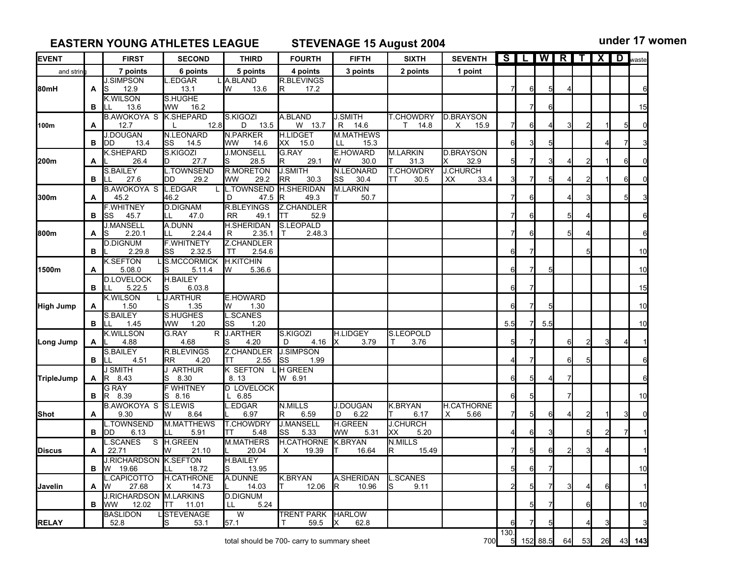**EASTERN YOUNG ATHLETES LEAGUE STEVENAGE 15 August 2004 under 17 women**

| <b>EVENT</b>   |   | <b>FIRST</b>                          | <b>SECOND</b>                    | <b>THIRD</b>                           | <b>FOURTH</b>                               | <b>FIFTH</b>                   | <b>SIXTH</b>                  | <b>SEVENTH</b>                | $\overline{\mathbf{s}}$ | L  |          |                | <b>WIRITIXID</b> waste |    |             |     |
|----------------|---|---------------------------------------|----------------------------------|----------------------------------------|---------------------------------------------|--------------------------------|-------------------------------|-------------------------------|-------------------------|----|----------|----------------|------------------------|----|-------------|-----|
| and strin      |   | 7 points                              | 6 points                         | 5 points                               | 4 points                                    | 3 points                       | 2 points                      | 1 point                       |                         |    |          |                |                        |    |             |     |
|                |   | <b>J.SIMPSON</b>                      | .EDGAR                           | A.BLAND                                | <b>R.BLEVINGS</b>                           |                                |                               |                               |                         |    |          |                |                        |    |             |     |
| l80mH          | A | 12.9<br>IS                            | 13.1                             | 13.6<br>w                              | 17.2<br>IR.                                 |                                |                               |                               |                         | 61 | 5        |                |                        |    |             |     |
|                | в | <b>K.WILSON</b><br>13.6               | <b>S.HUGHE</b><br>WW<br>16.2     |                                        |                                             |                                |                               |                               |                         |    |          |                |                        |    |             | 15  |
|                |   | <b>B.AWOKOYA S</b>                    | K.SHEPARD                        | S.KIGOZI                               | A.BLAND                                     | <b>J.SMITH</b>                 | <b>T.CHOWDRY</b>              | <b>D.BRAYSON</b>              |                         |    |          |                |                        |    |             |     |
| 100m           | A | 12.7                                  | 12.8                             | 13.5<br>D                              | W 13.7                                      | R 14.6                         | $T = 14.8$                    | X<br>15.9                     |                         | 61 |          | 3              |                        |    | 5           |     |
|                |   | <b>J.DOUGAN</b>                       | <b>N.LEONARD</b>                 | <b>N.PARKER</b>                        | <b>H.LIDGET</b>                             | <b>M.MATHEWS</b>               |                               |                               |                         |    |          |                |                        |    |             |     |
|                | в | DD<br>13.4                            | lSS<br>14.5                      | lww<br>14.6                            | XX<br>15.0                                  | LL.<br>15.3<br><b>E.HOWARD</b> |                               |                               | 6                       |    | 5        |                |                        |    |             |     |
| 200m           | A | <b>K.SHEPARD</b><br>26.4              | S.KIGOZI<br>27.7                 | <b>J.MONSELL</b><br>28.5               | <b>G.RAY</b><br>29.1                        | 30.0<br>IW                     | <b>M.LARKIN</b><br>31.3       | <b>D.BRAYSON</b><br>32.9<br>х |                         |    |          |                |                        |    | 61          |     |
|                |   | <b>S.BAILEY</b>                       | TOWNSEND                         | <b>R.MORETON</b>                       | <b>J.SMITH</b>                              | N.LEONARD                      | <b>T.CHOWDRY</b>              | <b>J.CHURCH</b>               |                         |    |          |                |                        |    |             |     |
|                | в | 27.6<br>LL                            | 29.2<br>DD                       | 29.2<br><b>WW</b>                      | <b>RR</b><br>30.3                           | lss<br>30.4                    | 30.5<br>TТ                    | 33.4<br>XХ                    |                         |    |          |                |                        |    | 61          |     |
|                |   | <b>B.AWOKOYA S</b>                    | <b>L.EDGAR</b>                   | L.TOWNSEND                             | <b>H.SHERIDAN</b>                           | <b>M.LARKIN</b>                |                               |                               |                         |    |          |                |                        |    |             |     |
| 300m           | A | 45.2                                  | 46.2                             | D<br>47.5                              | 49.3<br>R                                   | 50.7                           |                               |                               |                         | 6  |          |                |                        |    | 5           |     |
|                |   | <b>F.WHITNEY</b>                      | <b>D.DIGNAM</b><br>LL            | <b>R.BLEYINGS</b>                      | Z.CHANDLER<br>52.9                          |                                |                               |                               |                         | 61 |          |                |                        |    |             |     |
|                | в | 45.7<br>lSS<br><b>J.MANSELL</b>       | 47.0<br>A.DUNN                   | <b>RR</b><br>49.1<br><b>H.SHERIDAN</b> | ГT<br><b>S.LEOPALD</b>                      |                                |                               |                               |                         |    |          |                |                        |    |             |     |
| 800m           | A | 2.20.1<br>lS                          | 2.24.4<br>LL                     | R<br>2.35.1                            | 2.48.3                                      |                                |                               |                               |                         |    |          |                |                        |    |             |     |
|                |   | <b>D.DIGNUM</b>                       | <b>F.WHITNETY</b>                | Z.CHANDLER                             |                                             |                                |                               |                               |                         |    |          |                |                        |    |             |     |
|                | в | 2.29.8                                | 2.32.5<br>SS                     | 2.54.6<br>ТT                           |                                             |                                |                               |                               | 6                       |    |          |                |                        |    |             | 10  |
|                |   | <b>K.SEFTON</b>                       | S.MCCORMICK                      | <b>H.KITCHIN</b>                       |                                             |                                |                               |                               |                         |    |          |                |                        |    |             |     |
| 1500m          | A | 5.08.0                                | lS<br>5.11.4                     | 5.36.6<br>ΙW                           |                                             |                                |                               |                               | հ                       | 7  |          |                |                        |    |             | 10  |
|                |   | <b>D.LOVELOCK</b><br>5.22.5           | <b>H.BAILEY</b><br>lS            |                                        |                                             |                                |                               |                               | 6                       |    |          |                |                        |    |             |     |
|                | в | ILL<br><b>K.WILSON</b>                | 6.03.8<br><b>J.ARTHUR</b>        | E.HOWARD                               |                                             |                                |                               |                               |                         |    |          |                |                        |    |             | 15  |
| High Jump      | A | 1.50                                  | 1.35                             | 1.30<br>ΙW                             |                                             |                                |                               |                               |                         |    |          |                |                        |    |             | 10  |
|                |   | S.BAILEY                              | S.HUGHES                         | <b>L.SCANES</b>                        |                                             |                                |                               |                               |                         |    |          |                |                        |    |             |     |
|                | В | 1.45<br>ILL.                          | 1.20<br>WW                       | 1.20<br>lSS                            |                                             |                                |                               |                               | 5.5                     | 7  | 5.5      |                |                        |    |             | 10  |
|                |   | <b>K.WILLSON</b>                      | G.RAY                            | R J.ARTHER                             | S.KIGOZI                                    | H.LIDGEY                       | S.LEOPOLD                     |                               |                         |    |          |                |                        |    |             |     |
| Long Jump      | A | 4.88                                  | 4.68                             | 4.20                                   | 4.16<br>D                                   | 3.79                           | 3.76<br>Т                     |                               |                         |    |          | 6              |                        | 3  |             |     |
|                | в | S.BAILEY<br>4.51                      | <b>R.BLEVINGS</b><br>4.20<br>RR. | Z.CHANDLER<br>2.55<br>ITT              | <b>J.SIMPSON</b><br>SS<br>1.99              |                                |                               |                               |                         |    |          | 6              |                        |    |             |     |
|                |   | <b>J SMITH</b>                        | J ARTHUR                         | K SEFTON LH GREEN                      |                                             |                                |                               |                               |                         |    |          |                |                        |    |             |     |
| TripleJump     | A | R 8.43                                | 8.30                             | 8.13                                   | W 6.91                                      |                                |                               |                               |                         |    |          |                |                        |    |             |     |
|                |   | <b>G RAY</b>                          | <b>F WHITNEY</b>                 | <b>D LOVELOCK</b>                      |                                             |                                |                               |                               |                         |    |          |                |                        |    |             |     |
|                | в | R 8.39                                | S 8.16                           | $L$ 6.85                               |                                             |                                |                               |                               | ิค                      |    |          |                |                        |    |             | 10  |
|                |   | <b>B.AWOKOYA S</b>                    | S.LEWIS                          | .EDGAR                                 | <b>N.MILLS</b>                              | <b>J.DOUGAN</b>                | <b>K.BRYAN</b>                | <b>H.CATHORNE</b>             |                         |    |          |                |                        |    |             |     |
| Shot           | A | 9.30                                  | 8.64<br>w                        | 6.97                                   | 6.59<br>R.                                  | 6.22<br>D                      | 6.17                          | 5.66<br>x                     |                         | 51 | 6        |                |                        |    |             |     |
|                | в | L.TOWNSEND<br>6.13<br>IDD.            | M.MATTHEWS<br>5.91<br>LL         | <b>T.CHOWDRY</b><br>5.48<br>ITT        | <b>J.MANSELL</b><br>5.33<br>SS              | H.GREEN<br>5.31<br><b>WW</b>   | <b>J.CHURCH</b><br>5.20<br>XX |                               |                         | 6  | 3        |                |                        | 21 |             |     |
|                |   | .SCANES<br>S                          | H.GREEN                          | <b>M.MATHERS</b>                       | <b>H.CATHORNE</b>                           | K.BRYAN                        | <b>N.MILLS</b>                |                               |                         |    |          |                |                        |    |             |     |
| Discus         | A | 22.71                                 | 21.10                            | 20.04                                  | 19.39<br>X                                  | 16.64                          | 15.49                         |                               |                         |    | 6        | $\overline{2}$ |                        |    |             |     |
|                |   | J.RICHARDSON K.SEFTON                 |                                  | <b>H.BAILEY</b>                        |                                             |                                |                               |                               |                         |    |          |                |                        |    |             |     |
|                | в | W 19.66                               | LL 18.72                         | 13.95                                  |                                             |                                |                               |                               |                         |    |          |                |                        |    |             |     |
|                |   | L.CAPICOTTO                           | H.CATHRONE                       | A.DUNNE                                | <b>K.BRYAN</b>                              | A.SHERIDAN                     | .SCANES                       |                               |                         |    |          |                |                        |    |             |     |
| <b>Javelin</b> | А | 27.68<br>W                            | 14.73<br>х                       | 14.03                                  | 12.06                                       | 10.96<br>IR.                   | 9.11<br>S                     |                               |                         |    |          |                |                        | 6  |             |     |
|                | В | J.RICHARDSON M.LARKINS<br>12.02<br>WW | TТ<br>11.01                      | <b>D.DIGNUM</b><br>LL<br>5.24          |                                             |                                |                               |                               |                         | 5  |          |                | 6                      |    |             | 10  |
|                |   | <b>BASLIDON</b>                       | <b>LISTEVENAGE</b>               | $\overline{w}$                         | TRENT PARK HARLOW                           |                                |                               |                               |                         |    |          |                |                        |    |             |     |
| <b>RELAY</b>   |   | 52.8                                  | 53.1<br>S                        | 57.1                                   | 59.5                                        | ΙX<br>62.8                     |                               |                               |                         |    | 5        |                |                        |    |             |     |
|                |   |                                       |                                  |                                        | total should be 700- carry to summary sheet |                                |                               | 700                           | 130.<br>$5 \mid$        |    | 152 88.5 | 64             | 53                     | 26 | 43 <b>1</b> | 143 |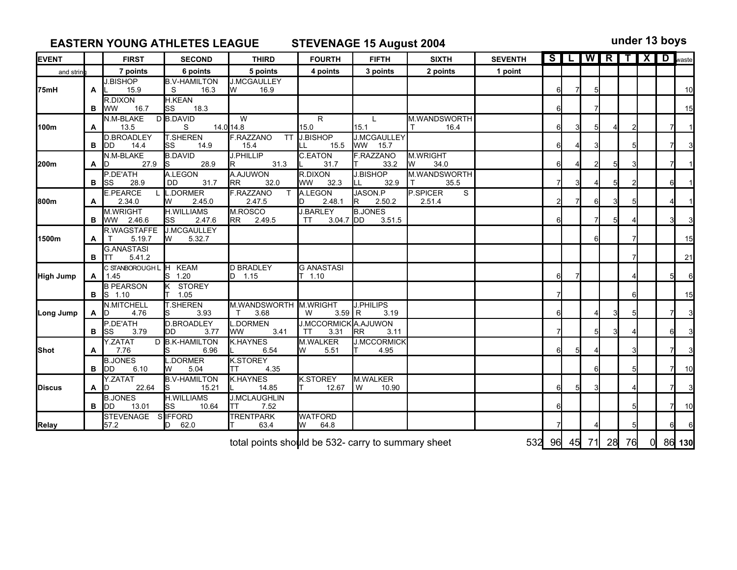## **EASTERN YOUNG ATHLETES LEAGUE STEVENAGE 15 August 2004 under 13 boys**

| <b>EVENT</b> |   | <b>FIRST</b>                            | <b>SECOND</b>                      | <b>THIRD</b>                               | <b>FOURTH</b>                               | <b>FIFTH</b>                       | <b>SIXTH</b>                         | <b>SEVENTH</b> |                |    |                |   | SLWRTXD <sub>waste</sub> |                |          |
|--------------|---|-----------------------------------------|------------------------------------|--------------------------------------------|---------------------------------------------|------------------------------------|--------------------------------------|----------------|----------------|----|----------------|---|--------------------------|----------------|----------|
| and strin    |   | 7 points                                | 6 points                           | 5 points                                   | 4 points                                    | 3 points                           | 2 points                             | 1 point        |                |    |                |   |                          |                |          |
| 75mH         | A | <b>J.BISHOP</b><br>15.9                 | <b>B.V-HAMILTON</b><br>16.3<br>S   | <b>J.MCGAULLEY</b><br>W<br>16.9            |                                             |                                    |                                      |                | $6 \mid$       |    | 5              |   |                          |                | 10       |
|              | в | R.DIXON<br>16.7<br><b>I</b> ww          | <b>H.KEAN</b><br>lss<br>18.3       |                                            |                                             |                                    |                                      |                | $6 \mid$       |    | 71             |   |                          |                | 15       |
| l100m        | A | N.M-BLAKE<br>13.5                       | D B.DAVID<br>S                     | W<br>14.0 14.8                             | $\overline{R}$<br>15.0                      | $\mathsf{L}$<br>15.1               | M.WANDSWORTH<br>16.4<br>$\mathsf{T}$ |                | $6 \mid$       | 3  | 5              |   |                          | $\overline{7}$ |          |
|              | в | <b>D.BROADLEY</b><br><b>IDD</b><br>14.4 | <b>T.SHEREN</b><br>14.9<br>lss     | <b>F.RAZZANO</b><br><b>TT</b><br>15.4      | J.BISHOP<br>LL                              | <b>J.MCGAULLEY</b><br>15.5 WW 15.7 |                                      |                | $6 \mid$       |    |                |   |                          | 7              |          |
| l200m        | A | N.M-BLAKE<br>27.9<br>ID                 | <b>B.DAVID</b><br>28.9<br>ls       | <b>J.PHILLIP</b><br>31.3                   | C.EATON<br>31.7                             | F.RAZZANO<br>33.2                  | M.WRIGHT<br><b>I</b> W<br>34.0       |                | $6 \mid$       |    |                |   |                          |                |          |
|              | в | P.DE'ATH<br>28.9<br>lss.                | A.LEGON<br>DD.<br>31.7             | A.AJUWON<br><b>RR</b><br>32.0              | R.DIXON<br>lww l<br>32.3                    | <b>J.BISHOP</b><br>32.9<br>ILL.    | M.WANDSWORTH<br>$\top$<br>35.5       |                |                |    |                | 5 |                          | 61             |          |
| 800m         | A | <b>E.PEARCE</b><br>2.34.0               | L.DORMER<br>2.45.0<br>IW           | <b>F.RAZZANO</b><br>$\mathsf{T}$<br>2.47.5 | A.LEGON<br>2.48.1                           | JASON.P<br>2.50.2<br>IR I          | <b>P.SPICER</b><br>S.<br>2.51.4      |                | $\overline{2}$ |    | 6              | 3 |                          |                |          |
|              | в | M.WRIGHT<br>WW 2.46.6                   | <b>H.WILLIAMS</b><br>2.47.6<br>lss | M.ROSCO<br>RR 2.49.5                       | <b>J.BARLEY</b><br><b>TT</b><br>$3.04.7$ DD | <b>B.JONES</b><br>3.51.5           |                                      |                | 6              |    | 7              | 5 |                          |                |          |
| l1500m       | A | R.WAGSTAFFE<br>5.19.7                   | <b>J.MCGAULLEY</b><br>5.32.7<br>Iw |                                            |                                             |                                    |                                      |                |                |    | հ              |   |                          |                | 15       |
|              |   | <b>G.ANASTASI</b><br>5.41.2<br>B ITT    |                                    |                                            |                                             |                                    |                                      |                |                |    |                |   |                          |                | 21       |
| High Jump    | A | C STANBOROUGH L H KEAM<br>1.45          | S 1.20                             | <b>D BRADLEY</b><br>D 1.15                 | <b>G ANASTASI</b><br>$T$ 1.10               |                                    |                                      |                | հ              |    |                |   |                          | 5І             | 6        |
|              | в | <b>B PEARSON</b><br>$S$ 1.10            | K STOREY<br>1.05                   |                                            |                                             |                                    |                                      |                |                |    |                |   |                          |                | 15       |
| Long Jump    | A | <b>N.MITCHELL</b><br>4.76<br>ID         | <b>T.SHEREN</b><br>3.93            | M.WANDSWORTH M.WRIGHT<br>3.68<br>$\top$    | $3.59$ R<br>W                               | <b>J.PHILIPS</b><br>3.19           |                                      |                | 6              |    |                | 3 |                          |                | 3        |
|              | в | P.DE'ATH<br>3.79<br>lss                 | D.BROADLEY<br>3.77<br>IDD.         | <b>L.DORMEN</b><br>3.41<br><b>WW</b>       | <b>J.MCCORMICK A.AJUWON</b><br>3.31<br>TT   | 3.11<br><b>RR</b>                  |                                      |                |                |    | 5              |   |                          |                |          |
| <b>Shot</b>  | A | Y.ZATAT<br>7.76                         | D B.K-HAMILTON<br>6.96             | <b>K.HAYNES</b><br>6.54                    | M.WALKER<br>5.51<br>W                       | <b>J.MCCORMICK</b><br>4.95         |                                      |                | 6              |    |                |   |                          |                |          |
|              | в | <b>B.JONES</b><br>6.10<br><b>IDD</b>    | L.DORMER<br>5.04<br>IW             | <b>K.STOREY</b><br>4.35<br>TT              |                                             |                                    |                                      |                |                |    | հ              |   |                          | 71             | 10       |
| Discus       | A | Y.ZATAT<br>22.64<br>ID                  | <b>B.V-HAMILTON</b><br>15.21       | <b>K.HAYNES</b><br>14.85                   | <b>K.STOREY</b><br>12.67                    | M.WALKER<br>l w<br>10.90           |                                      |                | $6 \mid$       | 51 | $\overline{3}$ |   |                          | 71             | 3        |
|              | в | <b>B.JONES</b><br>13.01<br>IDD.         | <b>H.WILLIAMS</b><br>10.64<br>lss  | <b>J.MCLAUGHLIN</b><br>7.52<br>ITT.        |                                             |                                    |                                      |                | 6              |    |                |   |                          | 71             | 10       |
| Relay        |   | <b>STEVENAGE</b><br>57.2                | SIFFORD<br>62.0<br>ID.             | <b>TRENTPARK</b><br>63.4                   | <b>WATFORD</b><br>64.8<br>W                 |                                    |                                      |                |                |    |                |   |                          | 61             | $6 \mid$ |

total points should be 532- carry to summary sheet  $\overline{532}$  96  $\overline{45}$   $\overline{71}$  28  $\overline{76}$  0 86  $\overline{130}$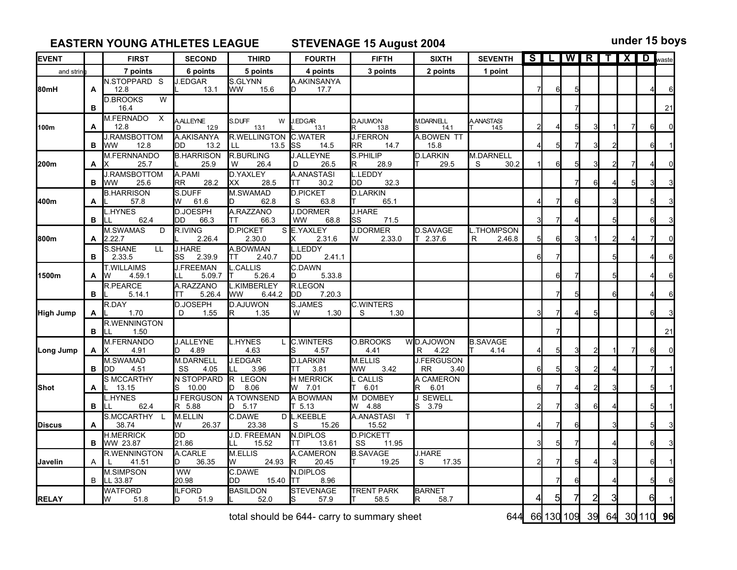**EASTERN YOUNG ATHLETES LEAGUE STEVENAGE 15 August 2004 under 15 boys**

| <b>EVENT</b>     |   | <b>FIRST</b>                               | <b>SECOND</b>                  | <b>THIRD</b>                        | <b>FOURTH</b>                           | <b>FIFTH</b>                         | <b>SIXTH</b>                           | <b>SEVENTH</b>                |    |        | SLIWRTXD Waste |   |                |          |
|------------------|---|--------------------------------------------|--------------------------------|-------------------------------------|-----------------------------------------|--------------------------------------|----------------------------------------|-------------------------------|----|--------|----------------|---|----------------|----------|
| and strin        |   | 7 points                                   | 6 points                       | 5 points                            | 4 points                                | 3 points                             | 2 points                               | 1 point                       |    |        |                |   |                |          |
| 80mH             | A | N.STOPPARD S<br>12.8                       | J.EDGAR<br>13.1                | S.GLYNN<br>lww<br>15.6              | A.AKINSANYA<br>17.7                     |                                      |                                        |                               | 6  | 5      |                |   |                | 6        |
|                  | в | <b>D.BROOKS</b><br>W<br>16.4               |                                |                                     |                                         |                                      |                                        |                               |    |        |                |   |                | 21       |
| 100m             | A | M.FERNADO X<br>12.8                        | <b>AALLEYNE</b><br>129<br>D    | S.DUFF<br>W<br>13.1                 | J.EDGAR<br>13.1                         | D.AJUWON<br>R 138                    | M.DARNELL<br>14.1                      | A.ANASTASI<br>T 14.5          |    | 5      | 3              |   | 6              | $\Omega$ |
|                  | в | <b>J.RAMSBOTTOM</b><br><b>WW</b><br>12.8   | A.AKISANYA<br>DD<br>13.2       | R.WELLINGTON<br>LL.<br>13.5         | <b>C.WATER</b><br><b>I</b> SS<br>14.5   | <b>J.FERRON</b><br><b>RR</b><br>14.7 | <b>A.BOWEN TT</b><br>15.8              |                               |    |        |                |   | 6              |          |
| 200m             | A | M.FERNNANDO<br>25.7<br>IX.                 | <b>B.HARRISON</b><br>25.9      | <b>R.BURLING</b><br>26.4<br>W       | <b>J.ALLEYNE</b><br>D<br>26.5           | S.PHILIP<br>28.9<br>R.               | <b>D.LARKIN</b><br>29.5                | <b>M.DARNELL</b><br>S<br>30.2 | 61 | $5 \,$ | 3              | 2 |                |          |
|                  | в | <b>J.RAMSBOTTOM</b><br>25.6<br><b>I</b> WW | A.PAMI<br>RR.<br>28.2          | <b>D.YAXLEY</b><br>28.5<br>Iхx      | A.ANASTASI<br>30.2<br>TT                | <b>L.LEDDY</b><br>DD<br>32.3         |                                        |                               |    |        | 61             |   |                |          |
| 400m             | A | <b>B.HARRISON</b><br>57.8                  | ls.duff<br>W<br>61.6           | M.SWAMAD<br>62.8<br>D               | <b>D.PICKET</b><br>S<br>63.8            | <b>D.LARKIN</b><br>65.1<br>IΤ        |                                        |                               |    | 6      |                | 3 |                |          |
|                  | в | L.HYNES<br>62.4                            | <b>D.JOESPH</b><br>66.3<br>DD  | A.RAZZANO<br>66.3<br>TΤ             | <b>J.DORMER</b><br><b>WW</b><br>68.8    | <b>J.HARE</b><br>lss<br>71.5         |                                        |                               |    |        |                | 5 | 6              |          |
| 800m             | A | <b>M.SWAMAS</b><br>D<br>2.22.7             | R.IVING<br>2.26.4              | <b>D.PICKET</b><br>2.30.0           | S E.YAXLEY<br>2.31.6                    | <b>J.DORMER</b><br>2.33.0            | <b>D.SAVAGE</b><br>T 2.37.6            | L.THOMPSON<br>2.46.8<br>R     | 6  | 3      |                |   | 7              | $\Omega$ |
|                  | в | S.SHANE<br><b>LL</b><br>2.33.5             | <b>J.HARE</b><br>lSS<br>2.39.9 | A.BOWMAN<br>2.40.7<br>TT            | LEDDY<br>2.41.1<br>DD                   |                                      |                                        |                               |    |        |                | 5 |                |          |
| 1500m            | Α | <b>T.WILLAIMS</b><br>4.59.1<br>W           | <b>J.FREEMAN</b><br>5.09.7     | L.CALLIS<br>5.26.4                  | C.DAWN<br>5.33.8                        |                                      |                                        |                               | 6  |        |                | 5 |                | 6        |
|                  | в | <b>R.PEARCE</b><br>5.14.1                  | A.RAZZANO<br>5.26.4<br>ТT      | <b>L.KIMBERLEY</b><br>lww<br>6.44.2 | <b>R.LEGON</b><br><b>I</b> DD<br>7.20.3 |                                      |                                        |                               |    | 5      |                | 6 |                | ิค       |
| <b>High Jump</b> | A | R.DAY<br>1.70                              | <b>D.JOSEPH</b><br>D<br>1.55   | <b>D.AJUWON</b><br>1.35<br>R        | S.JAMES<br>1.30<br>W                    | <b>C.WINTERS</b><br>1.30<br>S        |                                        |                               |    |        | 5              |   | 6              |          |
|                  | в | <b>R.WENNINGTON</b><br>1.50                |                                |                                     |                                         |                                      |                                        |                               |    |        |                |   |                | 21       |
| Long Jump        | A | M.FERNANDO<br>4.91<br>IX                   | <b>J.ALLEYNE</b><br>4.89       | <b>L.HYNES</b><br>4.63              | <b>C.WINTERS</b><br>4.57                | <b>O.BROOKS</b><br>4.41              | WD.AJOWON<br>$R_{\parallel}$<br>4.22   | <b>B.SAVAGE</b><br>4.14       |    | 3      | 2              |   | 6              | n        |
|                  | в | M.SWAMAD<br>4.51<br><b>IDD</b>             | <b>M.DARNELL</b><br>SS<br>4.05 | J.EDGAR<br>3.96<br>LL               | <b>D.LARKIN</b><br>3.81<br>TT           | <b>M.ELLIS</b><br>WW<br>3.42         | <b>J.FERGUSON</b><br><b>RR</b><br>3.40 |                               |    | 3      | 2              |   |                |          |
| <b>Shot</b>      | A | <b>S MCCARTHY</b><br>13.15                 | <b>N STOPPARD</b><br>S 10.00   | R LEGON<br>8.06<br>IDI              | <b>H MERRICK</b><br>W 7.01              | L CALLIS<br>6.01<br>IT.              | A CAMERON<br>R<br>6.01                 |                               |    |        | 21             | 3 | 5              |          |
|                  | в | HYNES<br>62.4                              | <b>J FERGUSON</b><br>R 5.88    | A TOWNSEND<br>$D$ 5.17              | A BOWMAN<br>T <sub>5.13</sub>           | M DOMBEY<br>W 4.88                   | J SEWELL<br>3.79<br>lS.                |                               |    | 3      | 6              |   | 5              |          |
| <b>Discus</b>    | A | S.MCCARTHY L<br>38.74                      | M.ELLIN<br>26.37<br>W          | C.DAWE<br>23.38                     | D L.KEEBLE<br>15.26<br>S                | A.ANASTASI<br>15.52                  |                                        |                               |    | 6      |                | 3 | 5 <sup>1</sup> |          |
|                  | в | <b>H.MERRICK</b><br>WW 23.87               | DD<br>21.86                    | <b>J.D. FREEMAN</b><br>15.52<br>LL  | N.DIPLOS<br>13.61<br>lТ                 | <b>D.PICKETT</b><br>SS<br>11.95      |                                        |                               |    |        |                |   | 6              |          |
| Javelin          | A | <b>R.WENNINGTON</b><br>L<br>41.51          | A.CARLE<br>36.35<br>D          | <b>M.ELLIS</b><br>24.93<br>lw       | A.CAMERON<br>20.45                      | <b>B.SAVAGE</b><br>19.25             | <b>J.HARE</b><br>17.35<br>S            |                               |    | 5      | ◢              | 3 | 6              |          |
|                  | B | <b>M.SIMPSON</b><br>LL 33.87               | <b>WW</b><br>20.98             | C.DAWE<br>DD<br>15.40               | N.DIPLOS<br>ITT<br>8.96                 |                                      |                                        |                               |    | 6      |                |   | 5              |          |
| <b>RELAY</b>     |   | <b>WATFORD</b><br>W<br>51.8                | <b>ILFORD</b><br>51.9          | <b>BASILDON</b><br>52.0             | <b>STEVENAGE</b><br>57.9                | <b>TRENT PARK</b><br>58.5            | <b>BARNET</b><br>58.7<br>R             |                               | 5  | 7      | $\overline{2}$ | 3 | 61             |          |

total should be 644- carry to summary sheet 644 66 130 109 39 64 30 110 96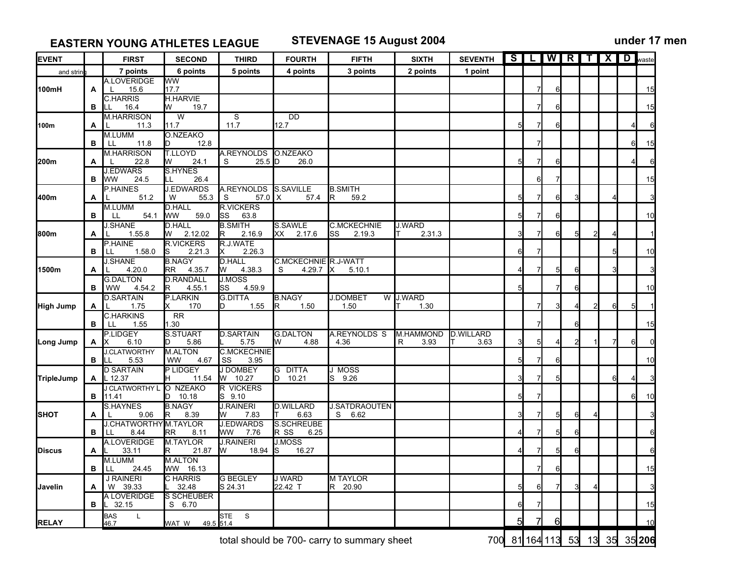**EASTERN YOUNG ATHLETES LEAGUE STEVENAGE 15 August 2004 under 17 men**

| 6 points<br>7 points<br>5 points<br>and strin<br><b>A.LOVERIDGE</b><br><b>WW</b><br>15.6<br>17.7<br>100mH<br>A<br>$\mathsf{L}$<br><b>C.HARRIS</b><br><b>H.HARVIE</b><br>16.4<br>W<br>19.7<br>в<br>LL<br>W<br><b>M.HARRISON</b><br>$\overline{\mathsf{s}}$<br>11.7<br>100m<br>11.7<br>11.3<br>A<br>M.LUMM<br>O.NZEAKO<br>12.8<br>11.8<br>в<br>LL<br>ID.<br><b>M.HARRISON</b><br><b>T.LLOYD</b><br>A.REYNOLDS | 4 points<br>$\overline{DD}$<br>12.7<br>O.NZEAKO<br>$25.5$ D<br>26.0 | 3 points             | 2 points         | 1 point          | 5        |   | 6<br>6<br>6 |    |   |          |   | 15<br>15 |
|-------------------------------------------------------------------------------------------------------------------------------------------------------------------------------------------------------------------------------------------------------------------------------------------------------------------------------------------------------------------------------------------------------------|---------------------------------------------------------------------|----------------------|------------------|------------------|----------|---|-------------|----|---|----------|---|----------|
|                                                                                                                                                                                                                                                                                                                                                                                                             |                                                                     |                      |                  |                  |          |   |             |    |   |          |   |          |
|                                                                                                                                                                                                                                                                                                                                                                                                             |                                                                     |                      |                  |                  |          |   |             |    |   |          |   |          |
|                                                                                                                                                                                                                                                                                                                                                                                                             |                                                                     |                      |                  |                  |          |   |             |    |   |          |   |          |
|                                                                                                                                                                                                                                                                                                                                                                                                             |                                                                     |                      |                  |                  |          |   |             |    |   |          |   |          |
|                                                                                                                                                                                                                                                                                                                                                                                                             |                                                                     |                      |                  |                  |          |   |             |    |   |          |   |          |
|                                                                                                                                                                                                                                                                                                                                                                                                             |                                                                     |                      |                  |                  |          |   |             |    |   |          |   |          |
|                                                                                                                                                                                                                                                                                                                                                                                                             |                                                                     |                      |                  |                  |          |   |             |    |   |          | 6 | 15       |
|                                                                                                                                                                                                                                                                                                                                                                                                             |                                                                     |                      |                  |                  |          |   |             |    |   |          |   |          |
| 22.8<br>200m<br>24.1<br>W<br>S<br>Α<br>L.                                                                                                                                                                                                                                                                                                                                                                   |                                                                     |                      |                  |                  | 5        |   | 6           |    |   |          |   |          |
| <b>J.EDWARS</b><br>S.HYNES<br>24.5<br>26.4<br><b>WW</b><br>LL<br>в                                                                                                                                                                                                                                                                                                                                          |                                                                     |                      |                  |                  |          | 6 | 7           |    |   |          |   | 15       |
| <b>J.EDWARDS</b><br>P.HAINES                                                                                                                                                                                                                                                                                                                                                                                | A.REYNOLDS S.SAVILLE                                                | <b>B.SMITH</b>       |                  |                  |          |   |             |    |   |          |   |          |
| 400m<br>51.2<br>55.3<br>${\mathsf S}$<br>W<br>A                                                                                                                                                                                                                                                                                                                                                             | $57.0$ X<br>57.4                                                    | 59.2<br>IR.          |                  |                  | 51       |   | 61          |    |   |          |   |          |
| <b>D.HALL</b><br><b>R.VICKERS</b><br><b>M.LUMM</b>                                                                                                                                                                                                                                                                                                                                                          |                                                                     |                      |                  |                  |          |   |             |    |   |          |   |          |
| <b>WW</b><br>59.0<br><b>SS</b><br>63.8<br>54.1<br>в<br>LL<br><b>J.SHANE</b><br><b>D.HALL</b><br><b>B.SMITH</b>                                                                                                                                                                                                                                                                                              | S.SAWLE                                                             | <b>C.MCKECHNIE</b>   | <b>J.WARD</b>    |                  | 5        |   | 6           |    |   |          |   | 10       |
| 2.12.02<br>800m<br>1.55.8<br>W<br>2.16.9<br>R<br>A                                                                                                                                                                                                                                                                                                                                                          | XX<br>2.17.6                                                        | 2.19.3<br>SS         | 2.31.3           |                  |          |   | 61          |    |   |          |   |          |
| P.HAINE<br><b>R.VICKERS</b><br>R.J.WATE                                                                                                                                                                                                                                                                                                                                                                     |                                                                     |                      |                  |                  |          |   |             |    |   |          |   |          |
| 2.21.3<br>2.26.3<br>1.58.0<br>S<br>В<br>LL.                                                                                                                                                                                                                                                                                                                                                                 |                                                                     |                      |                  |                  | 6        |   |             |    |   |          |   | 10       |
| <b>B.NAGY</b><br><b>J.SHANE</b><br><b>D.HALL</b><br>4.20.0<br>4.38.3<br>1500m<br>RR.<br>W<br>A                                                                                                                                                                                                                                                                                                              | C.MCKECHNIE R.J-WATT<br>S<br>4.29.7                                 | X.<br>5.10.1         |                  |                  |          |   | 5           | 6  |   |          |   |          |
| 4.35.7<br><b>D.RANDALL</b><br><b>G.DALTON</b><br>J.MOSS                                                                                                                                                                                                                                                                                                                                                     |                                                                     |                      |                  |                  |          |   |             |    |   |          |   |          |
| 4.55.1<br>SS<br>4.59.9<br>WW<br>4.54.2<br>lR.<br>в                                                                                                                                                                                                                                                                                                                                                          |                                                                     |                      |                  |                  | 5        |   |             | 61 |   |          |   | 10       |
| <b>D.SARTAIN</b><br>P.LARKIN<br><b>G.DITTA</b>                                                                                                                                                                                                                                                                                                                                                              | <b>B.NAGY</b>                                                       | <b>J.DOMBET</b>      | W J.WARD         |                  |          |   |             |    |   |          |   |          |
| High Jump<br>170<br>1.75<br>1.55<br>ID.<br>A<br>L.                                                                                                                                                                                                                                                                                                                                                          | R.<br>1.50                                                          | 1.50                 | 1.30             |                  |          |   |             |    | 2 | $6 \mid$ | 5 |          |
| <b>C.HARKINS</b><br><b>RR</b><br>1.55<br>1.30<br>в<br>LL.                                                                                                                                                                                                                                                                                                                                                   |                                                                     |                      |                  |                  |          |   |             | 61 |   |          |   | 15       |
| P.LIDGEY<br><b>S.STUART</b><br><b>D.SARTAIN</b>                                                                                                                                                                                                                                                                                                                                                             | <b>G.DALTON</b>                                                     | A.REYNOLDS S         | <b>M.HAMMOND</b> | <b>D.WILLARD</b> |          |   |             |    |   |          |   |          |
| 5.86<br>5.75<br>6.10<br>Long Jump<br>IX.<br>D<br>A                                                                                                                                                                                                                                                                                                                                                          | 4.88<br>W                                                           | 4.36                 | 3.93<br>R        | 3.63             |          | 5 |             |    |   |          | 6 |          |
| <b>J.CLATWORTHY</b><br><b>M.ALTON</b><br><b>C.MCKECHNIE</b><br>4.67<br><b>SS</b><br>в<br>ILL.                                                                                                                                                                                                                                                                                                               |                                                                     |                      |                  |                  | 51       |   | 61          |    |   |          |   | 10       |
| WW<br>5.53<br>3.95<br><b>D SARTAIN</b><br>P LIDGEY<br><b>J DOMBEY</b>                                                                                                                                                                                                                                                                                                                                       | G DITTA                                                             | J MOSS               |                  |                  |          |   |             |    |   |          |   |          |
| L 12.37<br>W 10.27<br>TripleJump<br>11.54<br>H<br>A                                                                                                                                                                                                                                                                                                                                                         | D<br>10.21                                                          | 9.26<br>lS.          |                  |                  |          |   |             |    |   | 6        |   |          |
| J CLATWORTHY L<br>O NZEAKO<br>R VICKERS                                                                                                                                                                                                                                                                                                                                                                     |                                                                     |                      |                  |                  |          |   |             |    |   |          |   |          |
| $D$ 10.18<br>S 9.10<br>в<br>11.41<br>S.HAYNES<br><b>B.NAGY</b><br><b>J.RAINERI</b>                                                                                                                                                                                                                                                                                                                          | <b>D.WILLARD</b>                                                    | <b>J.SATDRAOUTEN</b> |                  |                  | 5        |   |             |    |   |          | 6 | 10       |
| 9.06<br>8.39<br>ISHOT<br>7.83<br>IR.<br>W<br>A<br>L                                                                                                                                                                                                                                                                                                                                                         | 6.63                                                                | S 6.62               |                  |                  |          |   | 5           | 61 |   |          |   |          |
| <b>J.CHATWORTHY</b> M.TAYLOR<br>J.EDWARDS                                                                                                                                                                                                                                                                                                                                                                   | S.SCHREUBE                                                          |                      |                  |                  |          |   |             |    |   |          |   |          |
| 8.44<br><b>RR</b><br>8.11<br>WW 7.76<br>в<br>I LL.                                                                                                                                                                                                                                                                                                                                                          | R SS<br>6.25                                                        |                      |                  |                  |          |   | 5           | 6  |   |          |   |          |
| A.LOVERIDGE<br><b>M.TAYLOR</b><br><b>J.RAINERI</b><br><b>Discus</b><br>33.11<br>21.87<br>W<br>18.94<br>R<br>A                                                                                                                                                                                                                                                                                               | J.MOSS<br>ls<br>16.27                                               |                      |                  |                  |          |   |             | 61 |   |          |   |          |
| M.LUMM<br><b>M.ALTON</b>                                                                                                                                                                                                                                                                                                                                                                                    |                                                                     |                      |                  |                  |          |   |             |    |   |          |   |          |
| WW 16.13<br>24.45<br>в<br>LL.                                                                                                                                                                                                                                                                                                                                                                               |                                                                     |                      |                  |                  |          |   | 6           |    |   |          |   | 15       |
| <b>J RAINERI</b><br>C HARRIS<br><b>G BEGLEY</b>                                                                                                                                                                                                                                                                                                                                                             | J WARD                                                              | <b>MTAYLOR</b>       |                  |                  |          |   |             |    |   |          |   |          |
| W 39.33<br>32.48<br>S 24.31<br>Javelin<br>A                                                                                                                                                                                                                                                                                                                                                                 | 22.42 T                                                             | R 20.90              |                  |                  | 5        | 6 | 7           |    |   |          |   |          |
| A LOVERIDGE<br><b>S SCHEUBER</b><br>$L$ 32.15<br>S 6.70<br>в                                                                                                                                                                                                                                                                                                                                                |                                                                     |                      |                  |                  |          |   |             |    |   |          |   | 15       |
| <b>STE</b><br>S<br><b>BAS</b><br>$\mathsf{L}$                                                                                                                                                                                                                                                                                                                                                               |                                                                     |                      |                  |                  |          |   |             |    |   |          |   |          |
| <b>RELAY</b><br>46.7<br>WAT W<br>49.5 51.4                                                                                                                                                                                                                                                                                                                                                                  |                                                                     |                      |                  |                  | <u>5</u> | 7 | 6           |    |   |          |   | 10       |

total should be 700- carry to summary sheet 700 81 164 113 53 13 35 206